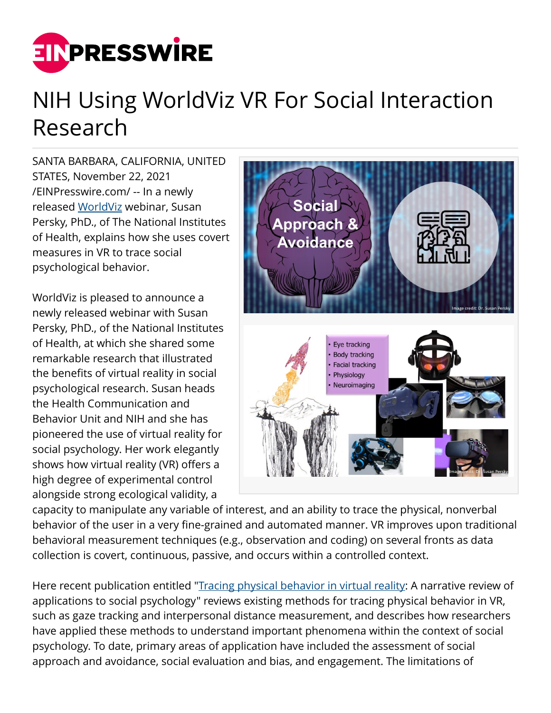

## NIH Using WorldViz VR For Social Interaction Research

SANTA BARBARA, CALIFORNIA, UNITED STATES, November 22, 2021 [/EINPresswire.com/](http://www.einpresswire.com) -- In a newly released [WorldViz](http://www.worldviz.com/) webinar, Susan Persky, PhD., of The National Institutes of Health, explains how she uses covert measures in VR to trace social psychological behavior.

WorldViz is pleased to announce a newly released webinar with Susan Persky, PhD., of the National Institutes of Health, at which she shared some remarkable research that illustrated the benefits of virtual reality in social psychological research. Susan heads the Health Communication and Behavior Unit and NIH and she has pioneered the use of virtual reality for social psychology. Her work elegantly shows how virtual reality (VR) offers a high degree of experimental control alongside strong ecological validity, a



capacity to manipulate any variable of interest, and an ability to trace the physical, nonverbal behavior of the user in a very fine-grained and automated manner. VR improves upon traditional behavioral measurement techniques (e.g., observation and coding) on several fronts as data collection is covert, continuous, passive, and occurs within a controlled context.

Here recent publication entitled "*[Tracing physical behavior in virtual reality](http://doi.org/10.1016/j.jesp.2019.103845)*: A narrative review of applications to social psychology" reviews existing methods for tracing physical behavior in VR, such as gaze tracking and interpersonal distance measurement, and describes how researchers have applied these methods to understand important phenomena within the context of social psychology. To date, primary areas of application have included the assessment of social approach and avoidance, social evaluation and bias, and engagement. The limitations of